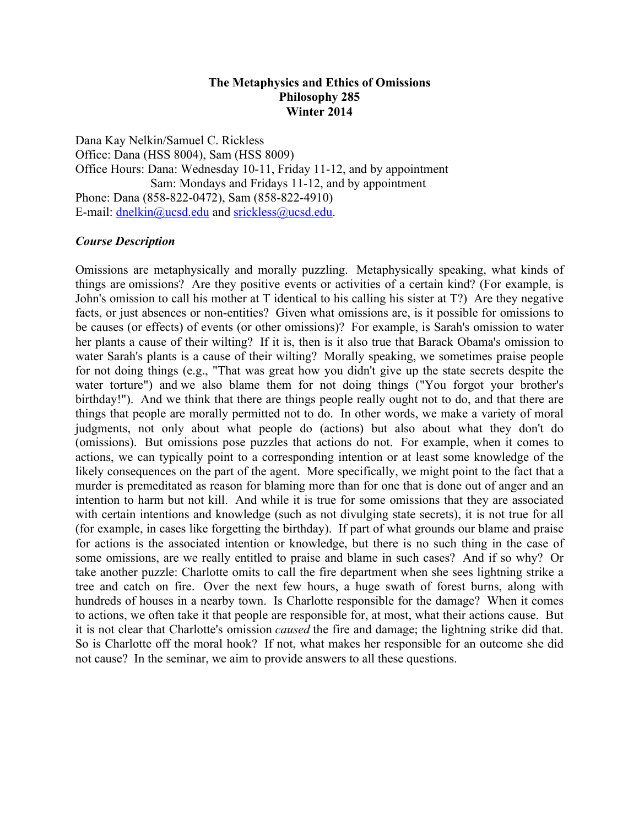#### **The Metaphysics and Ethics of Omissions Philosophy 285 Winter 2014**

Dana Kay Nelkin/Samuel C. Rickless Office: Dana (HSS 8004), Sam (HSS 8009) Office Hours: Dana: Wednesday 10-11, Friday 11-12, and by appointment Sam: Mondays and Fridays 11-12, and by appointment Phone: Dana (858-822-0472), Sam (858-822-4910) E-mail: dnelkin@ucsd.edu and srickless@ucsd.edu.

#### *Course Description*

Omissions are metaphysically and morally puzzling. Metaphysically speaking, what kinds of things are omissions? Are they positive events or activities of a certain kind? (For example, is John's omission to call his mother at T identical to his calling his sister at T?) Are they negative facts, or just absences or non-entities? Given what omissions are, is it possible for omissions to be causes (or effects) of events (or other omissions)? For example, is Sarah's omission to water her plants a cause of their wilting? If it is, then is it also true that Barack Obama's omission to water Sarah's plants is a cause of their wilting? Morally speaking, we sometimes praise people for not doing things (e.g., "That was great how you didn't give up the state secrets despite the water torture") and we also blame them for not doing things ("You forgot your brother's birthday!"). And we think that there are things people really ought not to do, and that there are things that people are morally permitted not to do. In other words, we make a variety of moral judgments, not only about what people do (actions) but also about what they don't do (omissions). But omissions pose puzzles that actions do not. For example, when it comes to actions, we can typically point to a corresponding intention or at least some knowledge of the likely consequences on the part of the agent. More specifically, we might point to the fact that a murder is premeditated as reason for blaming more than for one that is done out of anger and an intention to harm but not kill. And while it is true for some omissions that they are associated with certain intentions and knowledge (such as not divulging state secrets), it is not true for all (for example, in cases like forgetting the birthday). If part of what grounds our blame and praise for actions is the associated intention or knowledge, but there is no such thing in the case of some omissions, are we really entitled to praise and blame in such cases? And if so why? Or take another puzzle: Charlotte omits to call the fire department when she sees lightning strike a tree and catch on fire. Over the next few hours, a huge swath of forest burns, along with hundreds of houses in a nearby town. Is Charlotte responsible for the damage? When it comes to actions, we often take it that people are responsible for, at most, what their actions cause. But it is not clear that Charlotte's omission *caused* the fire and damage; the lightning strike did that. So is Charlotte off the moral hook? If not, what makes her responsible for an outcome she did not cause? In the seminar, we aim to provide answers to all these questions.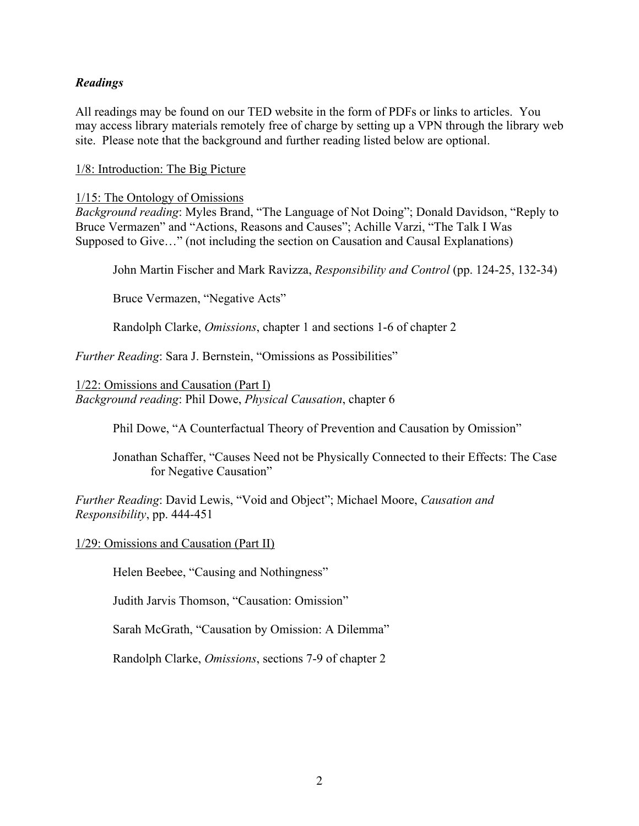## *Readings*

All readings may be found on our TED website in the form of PDFs or links to articles. You may access library materials remotely free of charge by setting up a VPN through the library web site. Please note that the background and further reading listed below are optional.

1/8: Introduction: The Big Picture

### 1/15: The Ontology of Omissions

*Background reading*: Myles Brand, "The Language of Not Doing"; Donald Davidson, "Reply to Bruce Vermazen" and "Actions, Reasons and Causes"; Achille Varzi, "The Talk I Was Supposed to Give…" (not including the section on Causation and Causal Explanations)

John Martin Fischer and Mark Ravizza, *Responsibility and Control* (pp. 124-25, 132-34)

Bruce Vermazen, "Negative Acts"

Randolph Clarke, *Omissions*, chapter 1 and sections 1-6 of chapter 2

*Further Reading*: Sara J. Bernstein, "Omissions as Possibilities"

1/22: Omissions and Causation (Part I) *Background reading*: Phil Dowe, *Physical Causation*, chapter 6

Phil Dowe, "A Counterfactual Theory of Prevention and Causation by Omission"

Jonathan Schaffer, "Causes Need not be Physically Connected to their Effects: The Case for Negative Causation"

*Further Reading*: David Lewis, "Void and Object"; Michael Moore, *Causation and Responsibility*, pp. 444-451

1/29: Omissions and Causation (Part II)

Helen Beebee, "Causing and Nothingness"

Judith Jarvis Thomson, "Causation: Omission"

Sarah McGrath, "Causation by Omission: A Dilemma"

Randolph Clarke, *Omissions*, sections 7-9 of chapter 2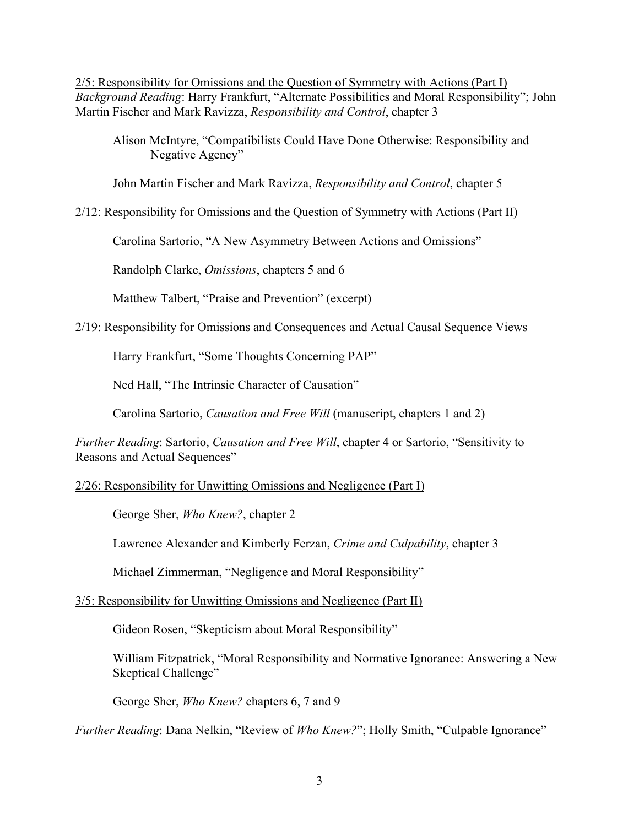2/5: Responsibility for Omissions and the Question of Symmetry with Actions (Part I) *Background Reading*: Harry Frankfurt, "Alternate Possibilities and Moral Responsibility"; John Martin Fischer and Mark Ravizza, *Responsibility and Control*, chapter 3

Alison McIntyre, "Compatibilists Could Have Done Otherwise: Responsibility and Negative Agency"

John Martin Fischer and Mark Ravizza, *Responsibility and Control*, chapter 5

### 2/12: Responsibility for Omissions and the Question of Symmetry with Actions (Part II)

Carolina Sartorio, "A New Asymmetry Between Actions and Omissions"

Randolph Clarke, *Omissions*, chapters 5 and 6

Matthew Talbert, "Praise and Prevention" (excerpt)

### 2/19: Responsibility for Omissions and Consequences and Actual Causal Sequence Views

Harry Frankfurt, "Some Thoughts Concerning PAP"

Ned Hall, "The Intrinsic Character of Causation"

Carolina Sartorio, *Causation and Free Will* (manuscript, chapters 1 and 2)

*Further Reading*: Sartorio, *Causation and Free Will*, chapter 4 or Sartorio, "Sensitivity to Reasons and Actual Sequences"

## 2/26: Responsibility for Unwitting Omissions and Negligence (Part I)

George Sher, *Who Knew?*, chapter 2

Lawrence Alexander and Kimberly Ferzan, *Crime and Culpability*, chapter 3

Michael Zimmerman, "Negligence and Moral Responsibility"

## 3/5: Responsibility for Unwitting Omissions and Negligence (Part II)

Gideon Rosen, "Skepticism about Moral Responsibility"

William Fitzpatrick, "Moral Responsibility and Normative Ignorance: Answering a New Skeptical Challenge"

George Sher, *Who Knew?* chapters 6, 7 and 9

*Further Reading*: Dana Nelkin, "Review of *Who Knew?*"; Holly Smith, "Culpable Ignorance"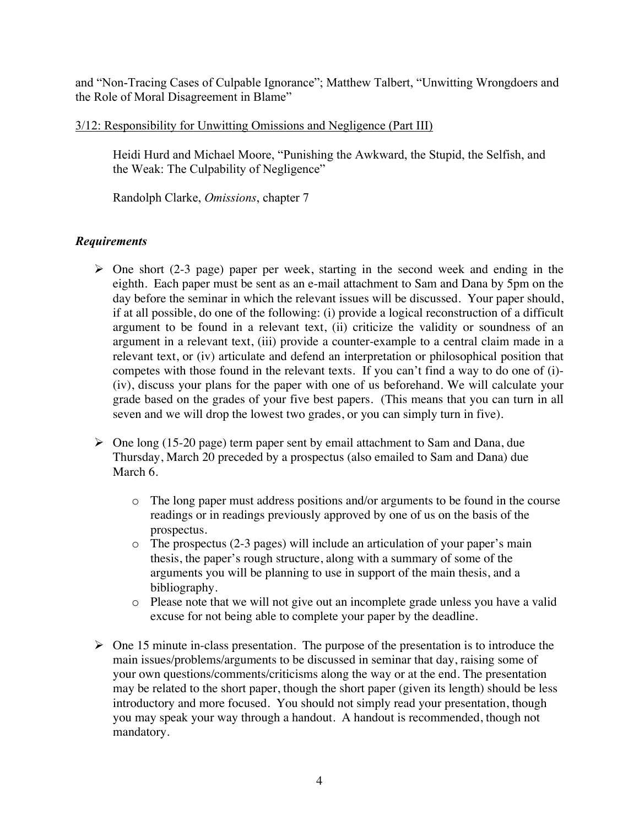and "Non-Tracing Cases of Culpable Ignorance"; Matthew Talbert, "Unwitting Wrongdoers and the Role of Moral Disagreement in Blame"

### 3/12: Responsibility for Unwitting Omissions and Negligence (Part III)

Heidi Hurd and Michael Moore, "Punishing the Awkward, the Stupid, the Selfish, and the Weak: The Culpability of Negligence"

Randolph Clarke, *Omissions*, chapter 7

# *Requirements*

- $\triangleright$  One short (2-3 page) paper per week, starting in the second week and ending in the eighth. Each paper must be sent as an e-mail attachment to Sam and Dana by 5pm on the day before the seminar in which the relevant issues will be discussed. Your paper should, if at all possible, do one of the following: (i) provide a logical reconstruction of a difficult argument to be found in a relevant text, (ii) criticize the validity or soundness of an argument in a relevant text, (iii) provide a counter-example to a central claim made in a relevant text, or (iv) articulate and defend an interpretation or philosophical position that competes with those found in the relevant texts. If you can't find a way to do one of (i)- (iv), discuss your plans for the paper with one of us beforehand. We will calculate your grade based on the grades of your five best papers. (This means that you can turn in all seven and we will drop the lowest two grades, or you can simply turn in five).
- $\triangleright$  One long (15-20 page) term paper sent by email attachment to Sam and Dana, due Thursday, March 20 preceded by a prospectus (also emailed to Sam and Dana) due March 6.
	- o The long paper must address positions and/or arguments to be found in the course readings or in readings previously approved by one of us on the basis of the prospectus.
	- o The prospectus (2-3 pages) will include an articulation of your paper's main thesis, the paper's rough structure, along with a summary of some of the arguments you will be planning to use in support of the main thesis, and a bibliography.
	- o Please note that we will not give out an incomplete grade unless you have a valid excuse for not being able to complete your paper by the deadline.
- $\triangleright$  One 15 minute in-class presentation. The purpose of the presentation is to introduce the main issues/problems/arguments to be discussed in seminar that day, raising some of your own questions/comments/criticisms along the way or at the end. The presentation may be related to the short paper, though the short paper (given its length) should be less introductory and more focused. You should not simply read your presentation, though you may speak your way through a handout. A handout is recommended, though not mandatory.